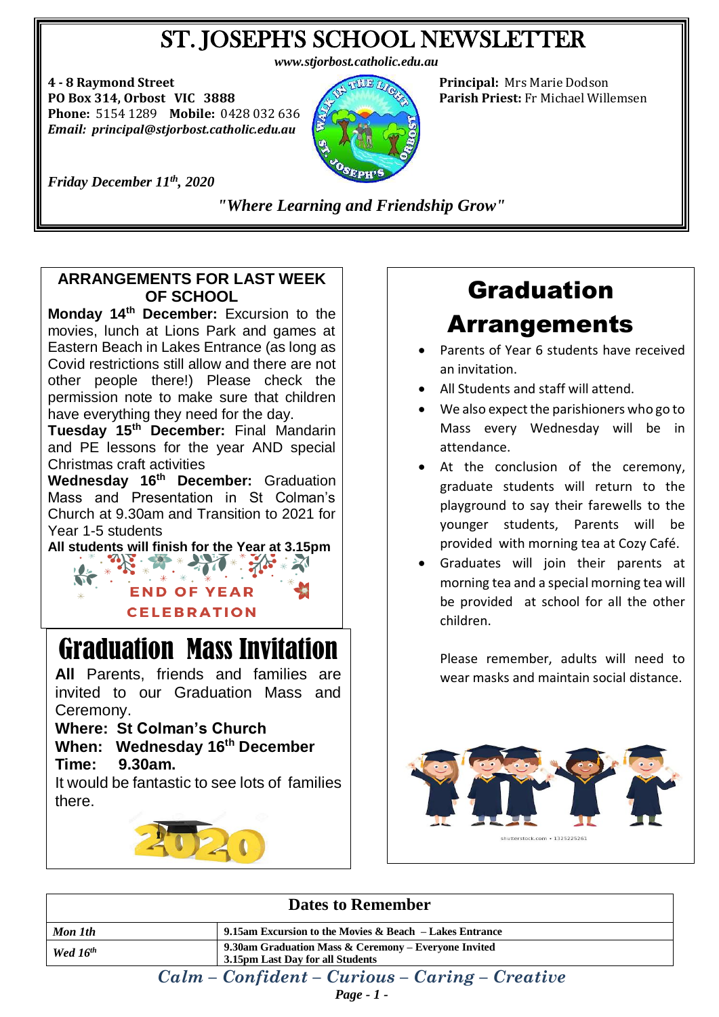## ST. JOSEPH'S SCHOOL NEWSLETTER

*www.stjorbost.catholic.edu.au*

**4 - 8 Raymond Street Principal:** Mrs Marie Dodson **PO Box 314, Orbost VIC 3888 Parish Priest:** Fr Michael Willemsen **Phone:** 5154 1289 **Mobile:** 0428 032 636 *Email: principal@stjorbost.catholic.edu.au*



*Friday December 11th , 2020*

*"Where Learning and Friendship Grow"*

.

### **ARRANGEMENTS FOR LAST WEEK OF SCHOOL**

**Monday 14th December:** Excursion to the movies, lunch at Lions Park and games at Eastern Beach in Lakes Entrance (as long as Covid restrictions still allow and there are not other people there!) Please check the permission note to make sure that children have everything they need for the day.

**Tuesday 15th December:** Final Mandarin and PE lessons for the year AND special Christmas craft activities

**Wednesday 16th December:** Graduation Mass and Presentation in St Colman's Church at 9.30am and Transition to 2021 for Year 1-5 students

**All students will finish for the Year at 3.15pm**

**END OF YEAR CELEBRATION** 

# Graduation Mass Invitation

**All** Parents, friends and families are invited to our Graduation Mass and Ceremony.

### **Where: St Colman's Church**

**When: Wednesday 16th December Time: 9.30am.**

It would be fantastic to see lots of families there.



# Graduation

## Arrangements

- Parents of Year 6 students have received an invitation.
- All Students and staff will attend.
- We also expect the parishioners who go to Mass every Wednesday will be in attendance.
- At the conclusion of the ceremony, graduate students will return to the playground to say their farewells to the younger students, Parents will be provided with morning tea at Cozy Café.
- Graduates will join their parents at morning tea and a special morning tea will be provided at school for all the other children.

Please remember, adults will need to wear masks and maintain social distance.



| <b>Dates to Remember</b>                         |                                                                                          |
|--------------------------------------------------|------------------------------------------------------------------------------------------|
| Mon 1th                                          | 9.15am Excursion to the Movies $\&$ Beach – Lakes Entrance                               |
| Wed $16^{th}$                                    | 9.30am Graduation Mass & Ceremony – Everyone Invited<br>3.15pm Last Day for all Students |
| $Calm - Confident - Curious - Caring - Creative$ |                                                                                          |

*Page - 1 -*